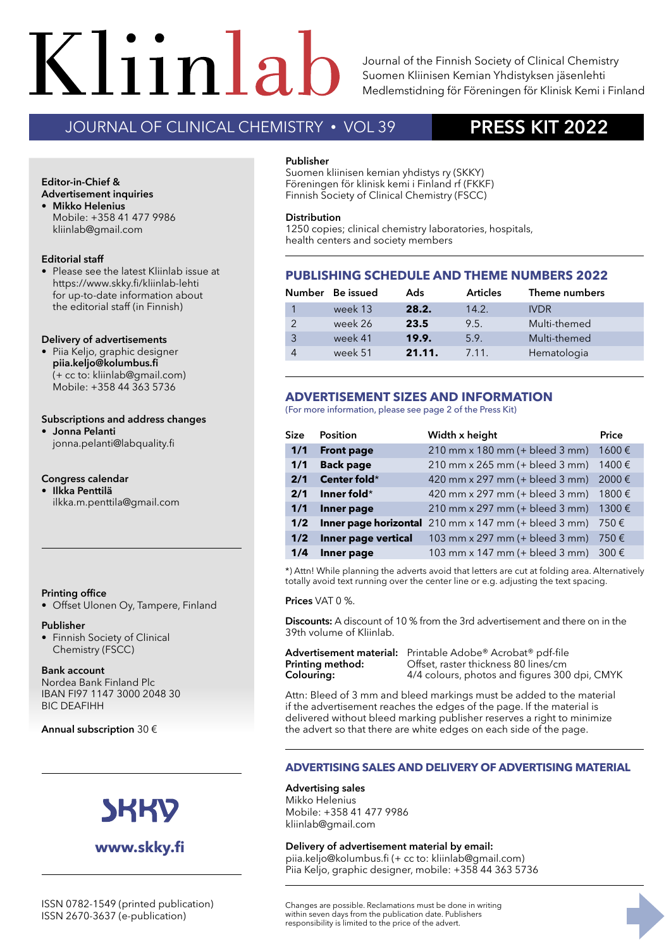# $K$ liinla **TEEMANA HYYTYMISTUTKIMUKSET 6• 2019**

Journal of the Finnish Society of Clinical Chemistry Suomen Kliinisen Kemian Yhdistyksen jäsenlehti Medlemstidning för Föreningen för Klinisk Kemi i Finland

# JOURNAL OF CLINICAL CHEMISTRY • VOL 39 **PRESS KIT 2022**

# Orion Diagnostica on nyt **Advertisement inquiries Editor-in-Chief &**

**• Mikko Helenius** Mobile: +358 41 477 9986 kliinlab@gmail.com

#### **Editorial staff**

• Please see the latest Kliinlab issue at https://www.skky.fi/kliinlab-lehti for up-to-date information about the editorial staff (in Finnish)

#### **Delivery of advertisements**

**•** Piia Keljo, graphic designer **piia.keljo@kolumbus.fi**  (+ cc to: kliinlab@gmail.com) Mobile: +358 44 363 5736

#### **Subscriptions and address changes**

**• Jonna Pelanti**  jonna.pelanti@labquality.fi

### **Congress calendar**

++IV 6.2019 Kliinlab.indd 107 +IV 21.11.2019 13.11 1.11.2019 ilkka.m.penttila@gmail.com **• Ilkka Penttilä** 

#### **Printing office**

• Offset Ulonen Oy, Tampere, Finland

#### **Publisher**

• Finnish Society of Clinical Chemistry (FSCC)

#### **Bank account**

Nordea Bank Finland Plc IBAN FI97 1147 3000 2048 30 BIC DEAFIHH

**Annual subscription** 30 €



# **www.skky.fi**

#### **Publisher**

Suomen kliinisen kemian yhdistys ry (SKKY) Föreningen för klinisk kemi i Finland rf (FKKF) Finnish Society of Clinical Chemistry (FSCC)

#### **Distribution**

1250 copies; clinical chemistry laboratories, hospitals, health centers and society members

## **PUBLISHING SCHEDULE AND THEME NUMBERS 2022**

|   | Number Be issued | Ads    | <b>Articles</b> | Theme numbers |
|---|------------------|--------|-----------------|---------------|
|   | week 13          | 28.2.  | 14.2.           | <b>IVDR</b>   |
|   | week 26          | 23.5   | 9.5.            | Multi-themed  |
| 3 | week 41          | 19.9.  | 5.9.            | Multi-themed  |
| 4 | week 51          | 21.11. | 7.11.           | Hematologia   |

## **ADVERTISEMENT SIZES AND INFORMATION**

(For more information, please see page 2 of the Press Kit)

| <b>Size</b> | <b>Position</b>     | Width x height                                                             | Price |
|-------------|---------------------|----------------------------------------------------------------------------|-------|
| 1/1         | <b>Front page</b>   | 210 mm x 180 mm (+ bleed 3 mm)                                             | 1600€ |
| 1/1         | <b>Back page</b>    | 210 mm x 265 mm (+ bleed 3 mm)                                             | 1400€ |
| 2/1         | Center fold*        | 420 mm x 297 mm (+ bleed 3 mm) 2000 €                                      |       |
| 2/1         | Inner fold*         | 420 mm x 297 mm (+ bleed 3 mm)                                             | 1800€ |
| 1/1         | Inner page          | 210 mm x 297 mm (+ bleed 3 mm) 1300 €                                      |       |
| 1/2         |                     | <b>Inner page horizontal</b> 210 mm x 147 mm (+ bleed 3 mm) 750 $\epsilon$ |       |
| 1/2         | Inner page vertical | 103 mm x 297 mm (+ bleed 3 mm)                                             | 750€  |
| 1/4         | Inner page          | 103 mm x 147 mm (+ bleed 3 mm)                                             | 300 € |

\*) Attn! While planning the adverts avoid that letters are cut at folding area. Alternatively totally avoid text running over the center line or e.g. adjusting the text spacing.

#### **Prices** VAT 0 %.

**Discounts:** A discount of 10 % from the 3rd advertisement and there on in the 39th volume of Kliinlab.

Advertisement material: Printable Adobe<sup>®</sup> Acrobat<sup>®</sup> pdf-file<br>**Printing method:** Offset, raster thickness 80 lines/cm **Printing method:** Offset, raster thickness 80 lines/cm<br> **Colouring:** 4/4 colours, photos and figures 30 4/4 colours, photos and figures 300 dpi, CMYK

Attn: Bleed of 3 mm and bleed markings must be added to the material if the advertisement reaches the edges of the page. If the material is delivered without bleed marking publisher reserves a right to minimize the advert so that there are white edges on each side of the page.

### **ADVERTISING SALES AND DELIVERY OF ADVERTISING MATERIAL**

#### **Advertising sales**

Mikko Helenius Mobile: +358 41 477 9986 kliinlab@gmail.com

#### **Delivery of advertisement material by email:**

piia.keljo@kolumbus.fi (+ cc to: kliinlab@gmail.com) Piia Keljo, graphic designer, mobile: +358 44 363 5736

Changes are possible. Reclamations must be done in writing within seven days from the publication date. Publishers responsibility is limited to the price of the advert.